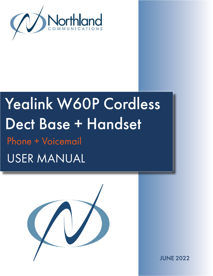

# Yealink W60P Cordless Dect Base + Handset Phone + Voicemail

USER MANUAL



JUNE 2022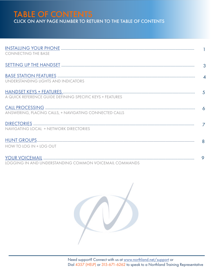# TABLE OF CONTENTS CLICK ON ANY PAGE NUMBER TO RETURN TO THE TABLE OF CONTENTS

| <b>CONNECTING THE BASE</b>                                |   |
|-----------------------------------------------------------|---|
|                                                           |   |
| UNDERSTANDING LIGHTS AND INDICATORS                       |   |
| A QUICK REFERENCE GUIDE DEFINING SPECIFIC KEYS + FEATURES |   |
| ANSWERING, PLACING CALLS, + NAVIGATING CONNECTED CALLS    |   |
| NAVIGATING LOCAL + NETWORK DIRECTORIES                    |   |
| HOW TO LOG IN + LOG OUT                                   |   |
| LOGGING IN AND UNDERSTANDING COMMON VOICEMAIL COMMANDS    | 9 |

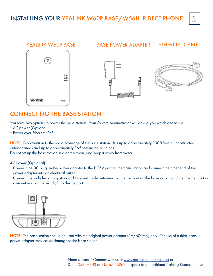<span id="page-2-0"></span>

# CONNECTING THE BASE STATION

You have two options to power the base station. Your System Administrator will advise you which one to use.

- + AC power (Optional)
- + Power over Ethernet (PoE)

NOTE: Pay attention to the radio coverage of the base station. It is up to approximately 1000 feet in unobstructed outdoor areas and up to approximately 165 feet inside buildings.

Do not set up the base station in a damp room, and keep it away from water.

#### AC Power (Optional)

- + Connect the DC plug on the power adapter to the DC5V port on the base station and connect the other end of the power adapter into an electrical outlet.
- + Connect the included or any standard Ethernet cable between the Internet port on the base station and the Internet port in your network or the switch/hub device port.



NOTE: The base station should be used with the original power adapter (5V/600mA) only. The use of a third-party power adapter may cause damage to the base station.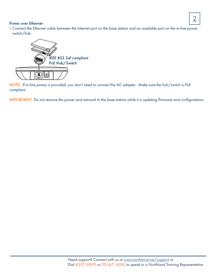# 2

#### Power over Ethernet

+ Connect the Ethernet cable between the Internet port on the base station and an available port on the in-line power switch/hub.



NOTE: If in-line power is provided, you don't need to connect the AC adapter. Make sure the hub/switch is PoE compliant.

IMPORTANT! Do not remove the power and network to the base station while it is updating firmware and configurations.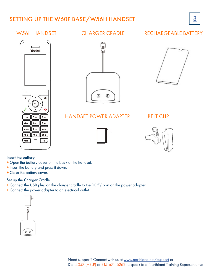# <span id="page-4-0"></span>SETTING UP THE W60P BASE/W56H HANDSET 3





## W56H HANDSFT CHARGER CRADIF

## RECHARGEABLE BATTERY





### HANDSET POWER ADAPTER



#### BELT CLIP



#### Insert the battery

- + Open the battery cover on the back of the handset.
- + Insert the battery and press it down.
- + Close the battery cover.

#### Set up the Charger Cradle

- + Connect the USB plug on the charger cradle to the DC5V port on the power adapter.
- + Connect the power adapter to an electrical outlet.

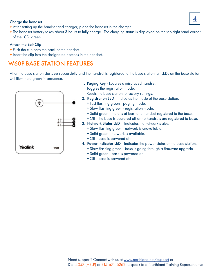# Charge the handset  $\begin{array}{|c|c|c|c|}\hline \multicolumn{1}{|c|}{4} \end{array}$

- + After setting up the handset and charger, place the handset in the charger.
- + The handset battery takes about 3 hours to fully charge. The charging status is displayed on the top right hand corner of the LCD screen.

#### Attach the Belt Clip

- + Push the clip onto the back of the handset.
- + Insert the clip into the designated notches in the handset.

# <span id="page-5-0"></span>W60P BASE STATION FEATURES

After the base station starts up successfully and the handset is registered to the base station, all LEDs on the base station will illuminate green in sequence.



1. Paging Key - Locates a misplaced handset. Toggles the registration mode.

Resets the base station to factory settings.

- 2. Registration LED Indicates the mode of the base station.
	- + Fast flashing green paging mode.
	- + Slow flashing green registration mode.
	- + Solid green there is at least one handset registered to the base.
	- + Off the base is powered off or no handsets are registered to base.
- 3. Network Status LED Indicates the network status.
	- + Slow flashing green network is unavailable.
	- + Solid green network is available.
	- + Off base is powered off.
- 4. Power Indicator LED Indicates the power status of the base station. + Slow flashing green - base is going through a firmware upgrade.
	- + Solid green base is powered on.
	- + Off base is powered off.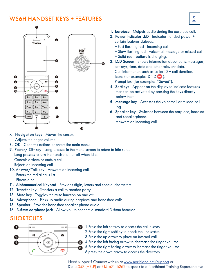# <span id="page-6-0"></span>W56H HANDSET KEYS + FEATURES  $\vert 5 \vert$



- 1. Earpiece Outputs audio during the earpiece call.
- 2. Power Indicator LED Indicates handset power + certain features statuses.
	- + Fast flashing red incoming call.
	- + Slow flashing red voicemail message or missed call.
	- + Solid red battery is charging.
- 3. LCD Screen Shows information about calls, messages, softkeys, time, date and other relevant data. Call information such as caller ID + call duration. Icons (for example: DND ). Prompt text (for example: "Saved").
- 4. Softkeys Appear on the display to indicate features that can be activated by pressing the keys directly below them.
- 5. Message key Accesses the voicemail or missed call log.
- 6. Speaker key Switches between the earpiece, headset and speakerphone. Answers an incoming call.

- 7. Navigation keys Moves the cursor. Adjusts the ringer volume.
- 8. OK Confirms actions or enters the main menu.
- 9. Power/ Off key Long presses in the menu screen to return to idle screen. Long presses to turn the handset on or off when idle. Cancels actions or ends a call. Rejects an incoming call. 10. Answer/Talk key - Answers an incoming call.
- Enters the redial calls list. Places a call.
- 11. Alphanumerical Keypad Provides digits, letters and special characters.
- 12. Transfer key Transfers a call to another party.
- 13. Mute key Toggles the mute function on and off.
- 14. Microphone Picks up audio during earpiece and handsfree calls.
- 15. Speaker Provides handsfree speaker phone audio.
- 16. 3.5mm earphone jack Allow you to connect a standard 3.5mm headset.

# SHORTCUTS

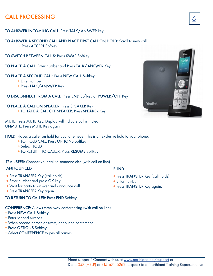# <span id="page-7-0"></span>CALL PROCESSING

#### TO ANSWER INCOMING CALL: Press TALK/ANSWER key.

#### TO ANSWER A SECOND CALL AND PLACE FIRST CALL ON HOLD: Scroll to new call. + Press ACCEPT Softkey

TO SWITCH BETWEEN CALLS: Press SWAP Softkey

TO PLACE A CALL: Enter number and Press TALK/ANSWER Key

TO PLACE A SECOND CALL: Press NEW CALL Softkey

+ Enter number

+ Press TALK/ANSWER Key

TO DISCONNECT FROM A CALL: Press END Softkey or POWER/OFF Key

#### TO PLACE A CALL ON SPEAKER: Press SPEAKER Key + TO TAKE A CALL OFF SPEAKER: Press SPEAKER Key

MUTE: Press MUTE Key. Display will indicate call is muted. UNMUTE: Press MUTE Key again

HOLD: Places a caller on hold for you to retrieve. This is an exclusive hold to your phone.

- + TO HOLD CALL: Press OPTIONS Softkey
- + Select HOLD
- + TO RETURN TO CALLER: Press RESUME Softkey

TRANSFER: Connect your call to someone else (with call on line)

#### ANNOUNCED

- + Press TRANSFER Key (call holds).
- + Enter number and press OK key.
- + Wait for party to answer and announce call.
- + Press TRANSFER Key again.

#### TO RETURN TO CALLER: Press END Softkey.

CONFERENCE: Allows three-way conferencing (with call on line).

- + Press NEW CALL Softkey.
- + Enter second number.
- + When second person answers, announce conference
- + Press OPTIONS Softkey
- + Select CONFERENCE to join all parties

#### BLIND

- + Press TRANSFER Key (call holds).
- + Enter number.
- + Press TRANSFER Key again.

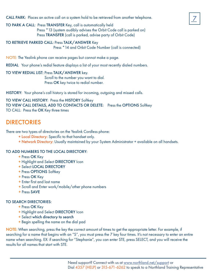CALL PARK: Places an active call on a system hold to be retrieved from another telephone.

#### TO PARK A CALL: Press TRANSFER Key, call is automatically held

 Press \*13 (system audibly advises the Orbit Code call is parked on) Press TRANSFER (call is parked, advise party of Orbit Code)

TO RETRIEVE PARKED CALL: Press TALK/ANSWER Key Press \*14 and Orbit Code Number (call is connected)

NOTE: The Yealink phone can receive pages but cannot make a page.

REDIAL: Your phone's redial feature displays a list of your most recently dialed numbers.

#### TO VIEW REDIAL LIST: Press TALK/ANSWER key.

 Scroll to the number you want to dial. Press OK key twice to redial number.

HISTORY: Your phone's call history is stored for incoming, outgoing and missed calls.

TO VIEW CALL HISTORY: Press the HISTORY Softkey TO VIEW CALL DETAILS, ADD TO CONTACTS OR DELETE: Press the OPTIONS Softkey TO CALL: Press the OK Key three times

# <span id="page-8-0"></span>**DIRECTORIES**

There are two types of directories on the Yealink Cordless phone:

- + Local Directory: Specific to that handset only.
- + Network Directory: Usually maintained by your System Administrator + available on all handsets.

#### TO ADD NUMBERS TO THE LOCAL DIRECTORY:

- + Press OK Key
- + Highlight and Select DIRECTORY Icon
- + Select LOCAL DIRECTORY
- + Press OPTIONS Softkey
- + Press OK Key
- + Enter first and last name
- + Scroll and Enter work/mobile/other phone numbers
- + Press SAVE

#### TO SEARCH DIRECTORIES:

- + Press OK Key
- + Highlight and Select DIRECTORY Icon
- + Select which directory to search
- + Begin spelling the name on the dial pad

NOTE: When searching, press the key the correct amount of times to get the appropriate letter. For example, if searching for a name that begins with an "S", you must press the 7 key four times. It's not necessary to enter an entire name when searching. EX: if searching for "Stephanie", you can enter STE, press SELECT, and you will receive the results for all names that start with STE.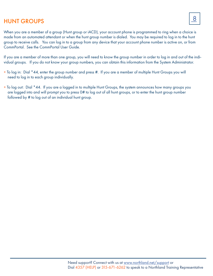# <span id="page-9-0"></span>HUNT GROUPS

When you are a member of a group (Hunt group or iACD), your account phone is programmed to ring when a choice is made from an automated attendant or when the hunt group number is dialed. You may be required to log in to the hunt group to receive calls. You can log in to a group from any device that your account phone number is active on, or from CommPortal. See the CommPortal User Guide.

If you are a member of more than one group, you will need to know the group number in order to log in and out of the individual groups. If you do not know your group numbers, you can obtain this information from the System Administrator.

- + To log in: Dial \*44, enter the group number and press #. If you are a member of multiple Hunt Groups you will need to log in to each group individually.
- + To log out: Dial \*44. If you are a logged in to multiple Hunt Groups, the system announces how many groups you are logged into and will prompt you to press 0# to log out of all hunt groups, or to enter the hunt group number followed by # to log out of an individual hunt group.